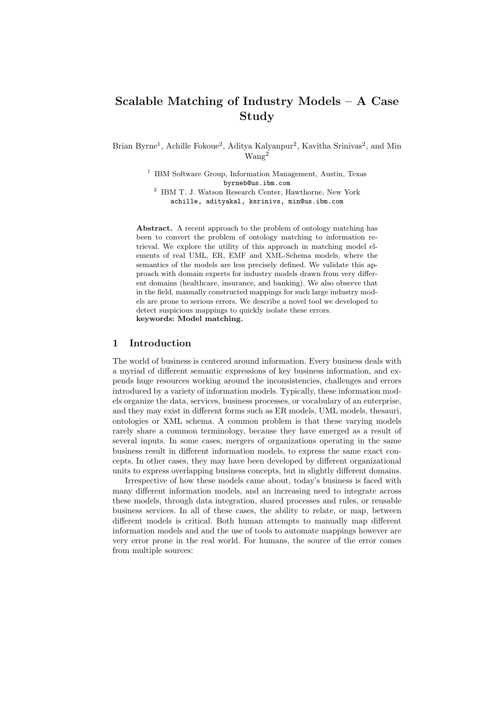# Scalable Matching of Industry Models – A Case Study

Brian Byrne<sup>1</sup>, Achille Fokoue<sup>2</sup>, Aditya Kalyanpur<sup>2</sup>, Kavitha Srinivas<sup>2</sup>, and Min Wang<sup>2</sup>

> <sup>1</sup> IBM Software Group, Information Management, Austin, Texas byrneb@us.ibm.com

2 IBM T. J. Watson Research Center, Hawthorne, New York achille, adityakal, ksrinivs, min@us.ibm.com

Abstract. A recent approach to the problem of ontology matching has been to convert the problem of ontology matching to information retrieval. We explore the utility of this approach in matching model elements of real UML, ER, EMF and XML-Schema models, where the semantics of the models are less precisely defined. We validate this approach with domain experts for industry models drawn from very different domains (healthcare, insurance, and banking). We also observe that in the field, manually constructed mappings for such large industry models are prone to serious errors. We describe a novel tool we developed to detect suspicious mappings to quickly isolate these errors. keywords: Model matching.

## 1 Introduction

The world of business is centered around information. Every business deals with a myriad of different semantic expressions of key business information, and expends huge resources working around the inconsistencies, challenges and errors introduced by a variety of information models. Typically, these information models organize the data, services, business processes, or vocabulary of an enterprise, and they may exist in different forms such as ER models, UML models, thesauri, ontologies or XML schema. A common problem is that these varying models rarely share a common terminology, because they have emerged as a result of several inputs. In some cases, mergers of organizations operating in the same business result in different information models, to express the same exact concepts. In other cases, they may have been developed by different organizational units to express overlapping business concepts, but in slightly different domains.

Irrespective of how these models came about, today's business is faced with many different information models, and an increasing need to integrate across these models, through data integration, shared processes and rules, or reusable business services. In all of these cases, the ability to relate, or map, between different models is critical. Both human attempts to manually map different information models and and the use of tools to automate mappings however are very error prone in the real world. For humans, the source of the error comes from multiple sources: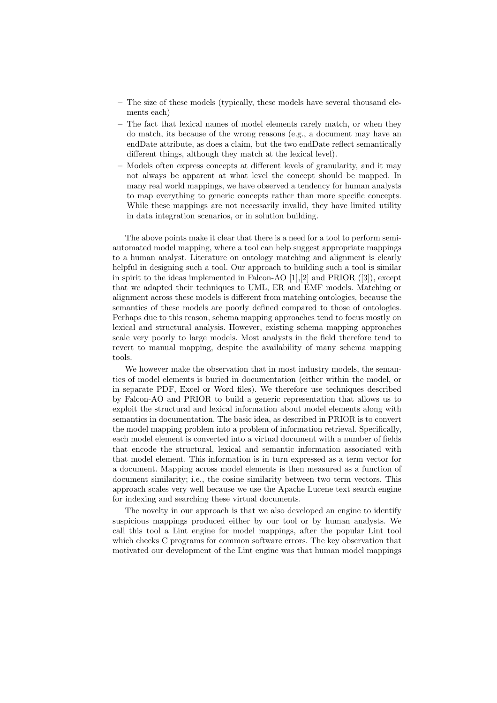- The size of these models (typically, these models have several thousand elements each)
- The fact that lexical names of model elements rarely match, or when they do match, its because of the wrong reasons (e.g., a document may have an endDate attribute, as does a claim, but the two endDate reflect semantically different things, although they match at the lexical level).
- Models often express concepts at different levels of granularity, and it may not always be apparent at what level the concept should be mapped. In many real world mappings, we have observed a tendency for human analysts to map everything to generic concepts rather than more specific concepts. While these mappings are not necessarily invalid, they have limited utility in data integration scenarios, or in solution building.

The above points make it clear that there is a need for a tool to perform semiautomated model mapping, where a tool can help suggest appropriate mappings to a human analyst. Literature on ontology matching and alignment is clearly helpful in designing such a tool. Our approach to building such a tool is similar in spirit to the ideas implemented in Falcon-AO [1],[2] and PRIOR ([3]), except that we adapted their techniques to UML, ER and EMF models. Matching or alignment across these models is different from matching ontologies, because the semantics of these models are poorly defined compared to those of ontologies. Perhaps due to this reason, schema mapping approaches tend to focus mostly on lexical and structural analysis. However, existing schema mapping approaches scale very poorly to large models. Most analysts in the field therefore tend to revert to manual mapping, despite the availability of many schema mapping tools.

We however make the observation that in most industry models, the semantics of model elements is buried in documentation (either within the model, or in separate PDF, Excel or Word files). We therefore use techniques described by Falcon-AO and PRIOR to build a generic representation that allows us to exploit the structural and lexical information about model elements along with semantics in documentation. The basic idea, as described in PRIOR is to convert the model mapping problem into a problem of information retrieval. Specifically, each model element is converted into a virtual document with a number of fields that encode the structural, lexical and semantic information associated with that model element. This information is in turn expressed as a term vector for a document. Mapping across model elements is then measured as a function of document similarity; i.e., the cosine similarity between two term vectors. This approach scales very well because we use the Apache Lucene text search engine for indexing and searching these virtual documents.

The novelty in our approach is that we also developed an engine to identify suspicious mappings produced either by our tool or by human analysts. We call this tool a Lint engine for model mappings, after the popular Lint tool which checks C programs for common software errors. The key observation that motivated our development of the Lint engine was that human model mappings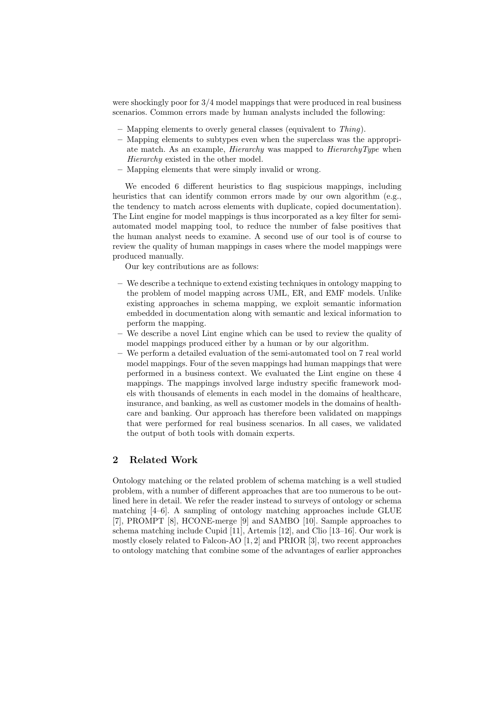were shockingly poor for 3/4 model mappings that were produced in real business scenarios. Common errors made by human analysts included the following:

- Mapping elements to overly general classes (equivalent to Thing).
- Mapping elements to subtypes even when the superclass was the appropriate match. As an example, Hierarchy was mapped to HierarchyType when Hierarchy existed in the other model.
- Mapping elements that were simply invalid or wrong.

We encoded 6 different heuristics to flag suspicious mappings, including heuristics that can identify common errors made by our own algorithm (e.g., the tendency to match across elements with duplicate, copied documentation). The Lint engine for model mappings is thus incorporated as a key filter for semiautomated model mapping tool, to reduce the number of false positives that the human analyst needs to examine. A second use of our tool is of course to review the quality of human mappings in cases where the model mappings were produced manually.

Our key contributions are as follows:

- We describe a technique to extend existing techniques in ontology mapping to the problem of model mapping across UML, ER, and EMF models. Unlike existing approaches in schema mapping, we exploit semantic information embedded in documentation along with semantic and lexical information to perform the mapping.
- We describe a novel Lint engine which can be used to review the quality of model mappings produced either by a human or by our algorithm.
- We perform a detailed evaluation of the semi-automated tool on 7 real world model mappings. Four of the seven mappings had human mappings that were performed in a business context. We evaluated the Lint engine on these 4 mappings. The mappings involved large industry specific framework models with thousands of elements in each model in the domains of healthcare, insurance, and banking, as well as customer models in the domains of healthcare and banking. Our approach has therefore been validated on mappings that were performed for real business scenarios. In all cases, we validated the output of both tools with domain experts.

## 2 Related Work

Ontology matching or the related problem of schema matching is a well studied problem, with a number of different approaches that are too numerous to be outlined here in detail. We refer the reader instead to surveys of ontology or schema matching [4–6]. A sampling of ontology matching approaches include GLUE [7], PROMPT [8], HCONE-merge [9] and SAMBO [10]. Sample approaches to schema matching include Cupid [11], Artemis [12], and Clio [13–16]. Our work is mostly closely related to Falcon-AO [1, 2] and PRIOR [3], two recent approaches to ontology matching that combine some of the advantages of earlier approaches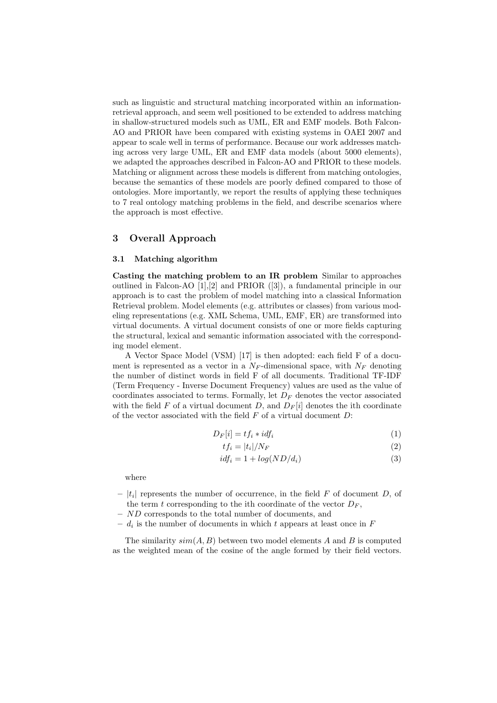such as linguistic and structural matching incorporated within an informationretrieval approach, and seem well positioned to be extended to address matching in shallow-structured models such as UML, ER and EMF models. Both Falcon-AO and PRIOR have been compared with existing systems in OAEI 2007 and appear to scale well in terms of performance. Because our work addresses matching across very large UML, ER and EMF data models (about 5000 elements), we adapted the approaches described in Falcon-AO and PRIOR to these models. Matching or alignment across these models is different from matching ontologies, because the semantics of these models are poorly defined compared to those of ontologies. More importantly, we report the results of applying these techniques to 7 real ontology matching problems in the field, and describe scenarios where the approach is most effective.

### 3 Overall Approach

#### 3.1 Matching algorithm

Casting the matching problem to an IR problem Similar to approaches outlined in Falcon-AO [1],[2] and PRIOR ([3]), a fundamental principle in our approach is to cast the problem of model matching into a classical Information Retrieval problem. Model elements (e.g. attributes or classes) from various modeling representations (e.g. XML Schema, UML, EMF, ER) are transformed into virtual documents. A virtual document consists of one or more fields capturing the structural, lexical and semantic information associated with the corresponding model element.

A Vector Space Model (VSM) [17] is then adopted: each field F of a document is represented as a vector in a  $N_F$ -dimensional space, with  $N_F$  denoting the number of distinct words in field F of all documents. Traditional TF-IDF (Term Frequency - Inverse Document Frequency) values are used as the value of coordinates associated to terms. Formally, let  $D_F$  denotes the vector associated with the field F of a virtual document D, and  $D_F[i]$  denotes the ith coordinate of the vector associated with the field  $F$  of a virtual document  $D$ :

$$
D_F[i] = tf_i * idf_i \tag{1}
$$

$$
tf_i = |t_i|/N_F \tag{2}
$$

$$
idf_i = 1 + log(ND/d_i)
$$
\n(3)

where

- $-|t_i|$  represents the number of occurrence, in the field F of document D, of the term t corresponding to the ith coordinate of the vector  $D_F$ ,
- ND corresponds to the total number of documents, and
- $-d_i$  is the number of documents in which t appears at least once in F

The similarity  $sim(A, B)$  between two model elements A and B is computed as the weighted mean of the cosine of the angle formed by their field vectors.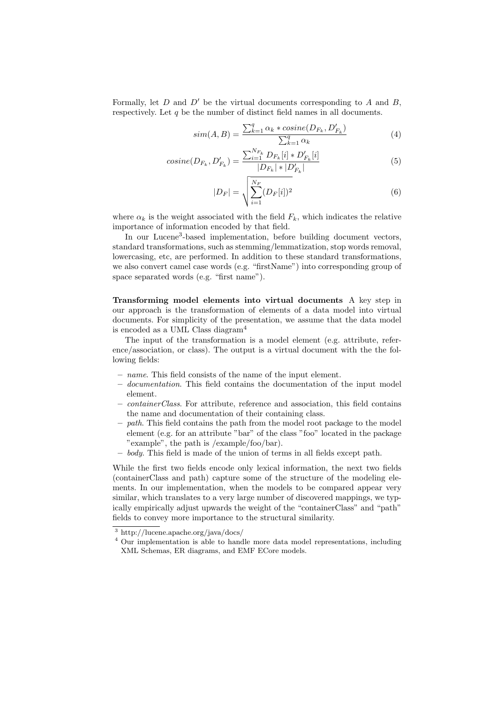Formally, let D and  $D'$  be the virtual documents corresponding to A and B, respectively. Let  $q$  be the number of distinct field names in all documents.

$$
sim(A, B) = \frac{\sum_{k=1}^{q} \alpha_k * cosine(D_{F_k}, D'_{F_k})}{\sum_{k=1}^{q} \alpha_k}
$$
\n(4)

$$
cosine(D_{F_k}, D'_{F_k}) = \frac{\sum_{i=1}^{N_{F_k}} D_{F_k}[i] * D'_{F_k}[i]}{|D_{F_k}| * |D'_{F_k}|}
$$
(5)

$$
|D_F| = \sqrt{\sum_{i=1}^{N_F} (D_F[i])^2} \tag{6}
$$

where  $\alpha_k$  is the weight associated with the field  $F_k$ , which indicates the relative importance of information encoded by that field.

In our Lucene<sup>3</sup>-based implementation, before building document vectors, standard transformations, such as stemming/lemmatization, stop words removal, lowercasing, etc, are performed. In addition to these standard transformations, we also convert camel case words (e.g. "firstName") into corresponding group of space separated words (e.g. "first name").

Transforming model elements into virtual documents A key step in our approach is the transformation of elements of a data model into virtual documents. For simplicity of the presentation, we assume that the data model is encoded as a UML Class diagram<sup>4</sup>

The input of the transformation is a model element (e.g. attribute, reference/association, or class). The output is a virtual document with the the following fields:

- name. This field consists of the name of the input element.
- documentation. This field contains the documentation of the input model element.
- containerClass. For attribute, reference and association, this field contains the name and documentation of their containing class.
- $-$  path. This field contains the path from the model root package to the model element (e.g. for an attribute "bar" of the class "foo" located in the package "example", the path is /example/foo/bar).
- body. This field is made of the union of terms in all fields except path.

While the first two fields encode only lexical information, the next two fields (containerClass and path) capture some of the structure of the modeling elements. In our implementation, when the models to be compared appear very similar, which translates to a very large number of discovered mappings, we typically empirically adjust upwards the weight of the "containerClass" and "path" fields to convey more importance to the structural similarity.

<sup>3</sup> http://lucene.apache.org/java/docs/

<sup>4</sup> Our implementation is able to handle more data model representations, including XML Schemas, ER diagrams, and EMF ECore models.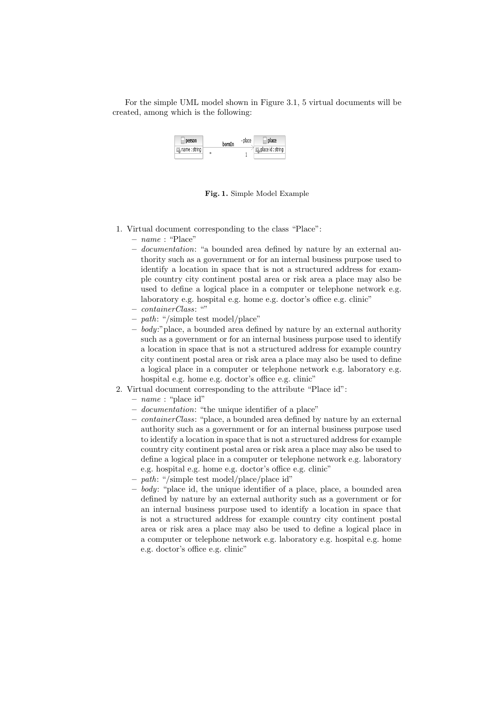For the simple UML model shown in Figure 3.1, 5 virtual documents will be created, among which is the following:



#### Fig. 1. Simple Model Example

- 1. Virtual document corresponding to the class "Place":
	- name : "Place"
	- documentation: "a bounded area defined by nature by an external authority such as a government or for an internal business purpose used to identify a location in space that is not a structured address for example country city continent postal area or risk area a place may also be used to define a logical place in a computer or telephone network e.g. laboratory e.g. hospital e.g. home e.g. doctor's office e.g. clinic"
	- containerClass: ""
	- $-$  path: "/simple test model/place"
	- body:"place, a bounded area defined by nature by an external authority such as a government or for an internal business purpose used to identify a location in space that is not a structured address for example country city continent postal area or risk area a place may also be used to define a logical place in a computer or telephone network e.g. laboratory e.g. hospital e.g. home e.g. doctor's office e.g. clinic"
- 2. Virtual document corresponding to the attribute "Place id":
	- $-$  *name* : "place id"
	- documentation: "the unique identifier of a place"
	- containerClass: "place, a bounded area defined by nature by an external authority such as a government or for an internal business purpose used to identify a location in space that is not a structured address for example country city continent postal area or risk area a place may also be used to define a logical place in a computer or telephone network e.g. laboratory e.g. hospital e.g. home e.g. doctor's office e.g. clinic"
	- path: "/simple test model/place/place id"
	- $-$  body: "place id, the unique identifier of a place, place, a bounded area defined by nature by an external authority such as a government or for an internal business purpose used to identify a location in space that is not a structured address for example country city continent postal area or risk area a place may also be used to define a logical place in a computer or telephone network e.g. laboratory e.g. hospital e.g. home e.g. doctor's office e.g. clinic"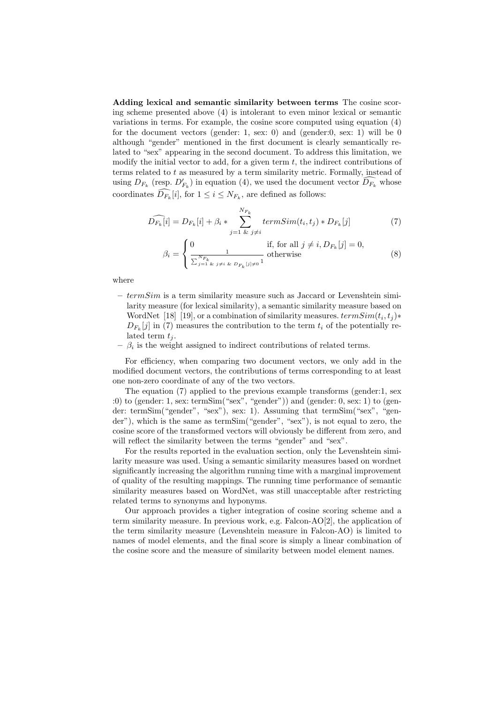Adding lexical and semantic similarity between terms The cosine scoring scheme presented above (4) is intolerant to even minor lexical or semantic variations in terms. For example, the cosine score computed using equation (4) for the document vectors (gender: 1, sex: 0) and (gender:0, sex: 1) will be 0 although "gender" mentioned in the first document is clearly semantically related to "sex" appearing in the second document. To address this limitation, we modify the initial vector to add, for a given term  $t$ , the indirect contributions of terms related to t as measured by a term similarity metric. Formally, instead of using  $D_{F_k}$  (resp.  $D'_{F_k}$ ) in equation (4), we used the document vector  $\widehat{D_{F_k}}$  whose coordinates  $D_{F_k}[i]$ , for  $1 \leq i \leq N_{F_k}$ , are defined as follows:

$$
\widehat{D_{F_k}[i]} = D_{F_k}[i] + \beta_i * \sum_{j=1 \text{ \& } j \neq i}^{N_{F_k}} termSim(t_i, t_j) * D_{F_k}[j] \tag{7}
$$

$$
\beta_{i} = \begin{cases} 0 & \text{if, for all } j \neq i, D_{F_{k}}[j] = 0, \\ \frac{1}{\sum_{j=1}^{N_{F_{k}}} \sum_{j \neq i} \sum_{k} D_{F_{k}}[j] \neq 0} 1 & \text{otherwise} \end{cases}
$$
(8)

where

 $-$  termSim is a term similarity measure such as Jaccard or Levenshtein similarity measure (for lexical similarity), a semantic similarity measure based on WordNet [18] [19], or a combination of similarity measures.  $termSim(t_i, t_j) *$  $D_{F_k}[j]$  in (7) measures the contribution to the term  $t_i$  of the potentially related term  $t_i$ .

 $\beta_i$  is the weight assigned to indirect contributions of related terms.

For efficiency, when comparing two document vectors, we only add in the modified document vectors, the contributions of terms corresponding to at least one non-zero coordinate of any of the two vectors.

The equation (7) applied to the previous example transforms (gender:1, sex :0) to (gender: 1, sex: termSim("sex", "gender")) and (gender: 0, sex: 1) to (gender: termSim("gender", "sex"), sex: 1). Assuming that termSim("sex", "gender"), which is the same as termSim("gender", "sex"), is not equal to zero, the cosine score of the transformed vectors will obviously be different from zero, and will reflect the similarity between the terms "gender" and "sex".

For the results reported in the evaluation section, only the Levenshtein similarity measure was used. Using a semantic similarity measures based on wordnet significantly increasing the algorithm running time with a marginal improvement of quality of the resulting mappings. The running time performance of semantic similarity measures based on WordNet, was still unacceptable after restricting related terms to synonyms and hyponyms.

Our approach provides a tigher integration of cosine scoring scheme and a term similarity measure. In previous work, e.g. Falcon-AO[2], the application of the term similarity measure (Levenshtein measure in Falcon-AO) is limited to names of model elements, and the final score is simply a linear combination of the cosine score and the measure of similarity between model element names.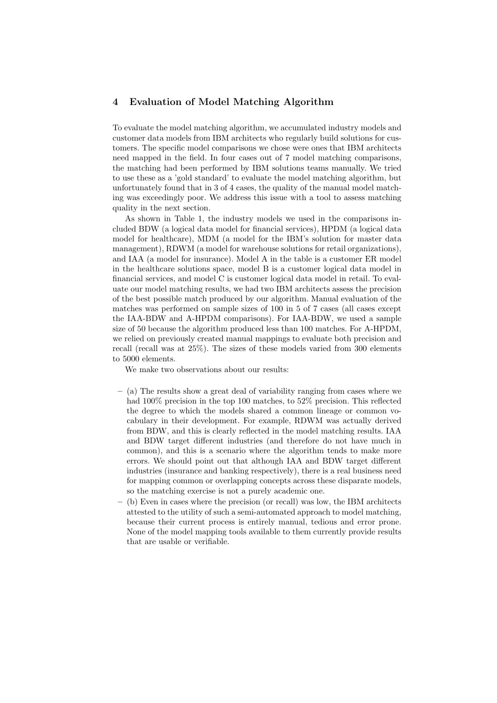## 4 Evaluation of Model Matching Algorithm

To evaluate the model matching algorithm, we accumulated industry models and customer data models from IBM architects who regularly build solutions for customers. The specific model comparisons we chose were ones that IBM architects need mapped in the field. In four cases out of 7 model matching comparisons, the matching had been performed by IBM solutions teams manually. We tried to use these as a 'gold standard' to evaluate the model matching algorithm, but unfortunately found that in 3 of 4 cases, the quality of the manual model matching was exceedingly poor. We address this issue with a tool to assess matching quality in the next section.

As shown in Table 1, the industry models we used in the comparisons included BDW (a logical data model for financial services), HPDM (a logical data model for healthcare), MDM (a model for the IBM's solution for master data management), RDWM (a model for warehouse solutions for retail organizations), and IAA (a model for insurance). Model A in the table is a customer ER model in the healthcare solutions space, model B is a customer logical data model in financial services, and model C is customer logical data model in retail. To evaluate our model matching results, we had two IBM architects assess the precision of the best possible match produced by our algorithm. Manual evaluation of the matches was performed on sample sizes of 100 in 5 of 7 cases (all cases except the IAA-BDW and A-HPDM comparisons). For IAA-BDW, we used a sample size of 50 because the algorithm produced less than 100 matches. For A-HPDM, we relied on previously created manual mappings to evaluate both precision and recall (recall was at 25%). The sizes of these models varied from 300 elements to 5000 elements.

We make two observations about our results:

- (a) The results show a great deal of variability ranging from cases where we had 100% precision in the top 100 matches, to 52% precision. This reflected the degree to which the models shared a common lineage or common vocabulary in their development. For example, RDWM was actually derived from BDW, and this is clearly reflected in the model matching results. IAA and BDW target different industries (and therefore do not have much in common), and this is a scenario where the algorithm tends to make more errors. We should point out that although IAA and BDW target different industries (insurance and banking respectively), there is a real business need for mapping common or overlapping concepts across these disparate models, so the matching exercise is not a purely academic one.
- (b) Even in cases where the precision (or recall) was low, the IBM architects attested to the utility of such a semi-automated approach to model matching, because their current process is entirely manual, tedious and error prone. None of the model mapping tools available to them currently provide results that are usable or verifiable.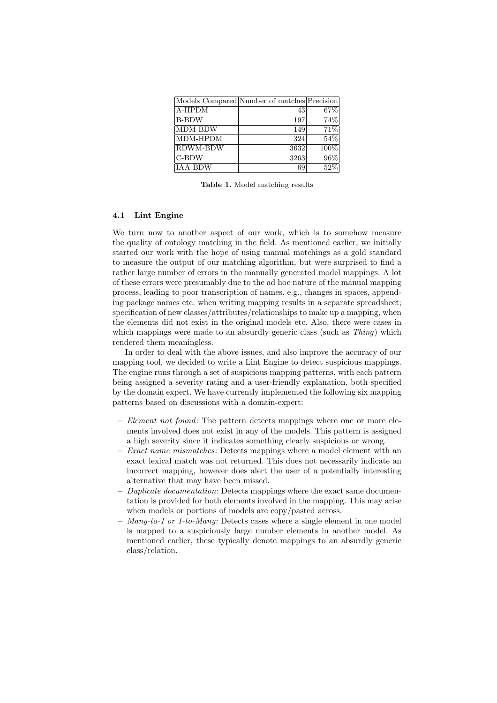|                 | Models Compared Number of matches Precision |         |
|-----------------|---------------------------------------------|---------|
| A-HPDM          | 43                                          | 67\%    |
| <b>B-BDW</b>    | 197                                         | 74%     |
| MDM-BDW         | 149                                         | $71\%$  |
| MDM-HPDM        | 324                                         | 54%     |
| <b>RDWM-BDW</b> | 3632                                        | $100\%$ |
| $C-BDW$         | 3263                                        | 96%     |
| IAA-BDW         | 69                                          | 52%     |

Table 1. Model matching results

## 4.1 Lint Engine

We turn now to another aspect of our work, which is to somehow measure the quality of ontology matching in the field. As mentioned earlier, we initially started our work with the hope of using manual matchings as a gold standard to measure the output of our matching algorithm, but were surprised to find a rather large number of errors in the manually generated model mappings. A lot of these errors were presumably due to the ad hoc nature of the manual mapping process, leading to poor transcription of names, e.g., changes in spaces, appending package names etc. when writing mapping results in a separate spreadsheet; specification of new classes/attributes/relationships to make up a mapping, when the elements did not exist in the original models etc. Also, there were cases in which mappings were made to an absurdly generic class (such as  $Thing$ ) which rendered them meaningless.

In order to deal with the above issues, and also improve the accuracy of our mapping tool, we decided to write a Lint Engine to detect suspicious mappings. The engine runs through a set of suspicious mapping patterns, with each pattern being assigned a severity rating and a user-friendly explanation, both specified by the domain expert. We have currently implemented the following six mapping patterns based on discussions with a domain-expert:

- Element not found: The pattern detects mappings where one or more elements involved does not exist in any of the models. This pattern is assigned a high severity since it indicates something clearly suspicious or wrong.
- $-$  *Exact name mismatches:* Detects mappings where a model element with an exact lexical match was not returned. This does not necessarily indicate an incorrect mapping, however does alert the user of a potentially interesting alternative that may have been missed.
- $-$  *Duplicate documentation*: Detects mappings where the exact same documentation is provided for both elements involved in the mapping. This may arise when models or portions of models are copy/pasted across.
- $-$  Many-to-1 or 1-to-Many: Detects cases where a single element in one model is mapped to a suspiciously large number elements in another model. As mentioned earlier, these typically denote mappings to an absurdly generic class/relation.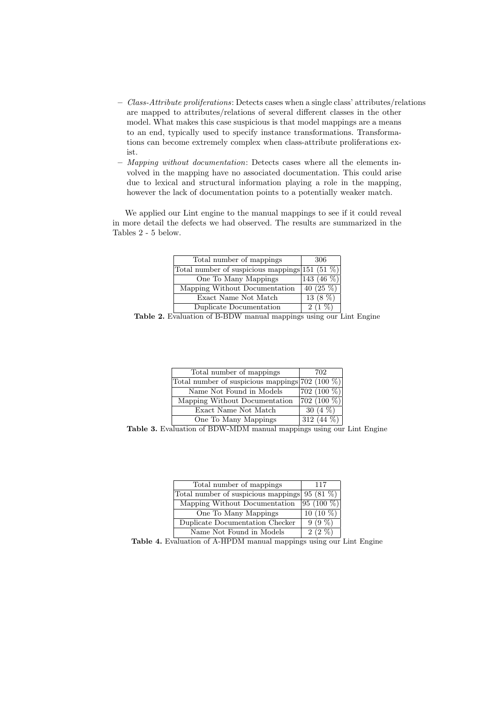- $-$  Class-Attribute proliferations: Detects cases when a single class' attributes/relations are mapped to attributes/relations of several different classes in the other model. What makes this case suspicious is that model mappings are a means to an end, typically used to specify instance transformations. Transformations can become extremely complex when class-attribute proliferations exist.
- Mapping without documentation: Detects cases where all the elements involved in the mapping have no associated documentation. This could arise due to lexical and structural information playing a role in the mapping, however the lack of documentation points to a potentially weaker match.

We applied our Lint engine to the manual mappings to see if it could reveal in more detail the defects we had observed. The results are summarized in the Tables 2 - 5 below.

| Total number of mappings                                  | 306           |
|-----------------------------------------------------------|---------------|
| Total number of suspicious mappings $ 151 \rangle$ (51 %) |               |
| One To Many Mappings                                      | 143 (46 $%$ ) |
| Mapping Without Documentation                             | 40 $(25\%)$   |
| Exact Name Not Match                                      | 13(8%)        |
| Duplicate Documentation                                   | $2(1\%)$      |

Table 2. Evaluation of B-BDW manual mappings using our Lint Engine

| Total number of mappings                                  | 702                       |
|-----------------------------------------------------------|---------------------------|
| Total number of suspicious mappings $ 702\rangle$ (100 %) |                           |
| Name Not Found in Models                                  | $\sqrt{702 \ (100 \%)}$   |
| Mapping Without Documentation                             | $\sqrt{702 \ (100 \ \%)}$ |
| Exact Name Not Match                                      | 30 (4 $%$ )               |
| One To Many Mappings                                      | $312(44\%)$               |

Table 3. Evaluation of BDW-MDM manual mappings using our Lint Engine

| Total number of mappings            | 117                   |
|-------------------------------------|-----------------------|
| Total number of suspicious mappings | $95(81\%)$            |
| Mapping Without Documentation       | $95(100\%)$           |
| One To Many Mappings                | $\overline{10(10\%)}$ |
| Duplicate Documentation Checker     | $9(9\%)$              |
| Name Not Found in Models            | $2(2\%)$              |

Table 4. Evaluation of A-HPDM manual mappings using our Lint Engine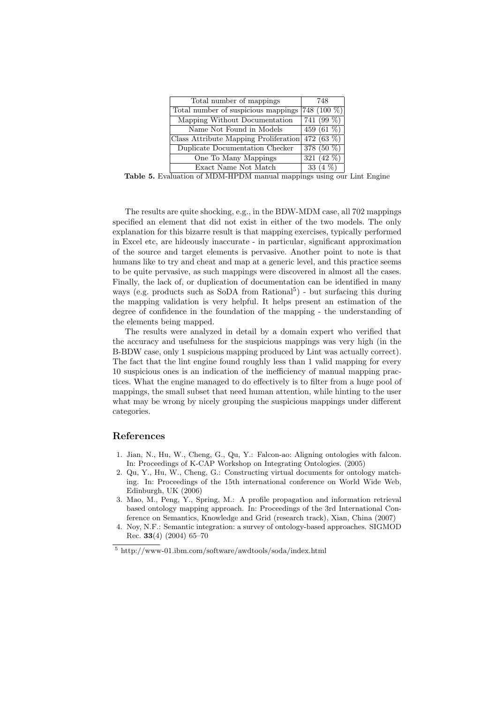| Total number of mappings              | 748                    |
|---------------------------------------|------------------------|
| Total number of suspicious mappings   | 748 (100 %)            |
| Mapping Without Documentation         | $741(99\%)$            |
| Name Not Found in Models              | $\overline{459(61\%)}$ |
| Class Attribute Mapping Proliferation | 472 (63 %)             |
| Duplicate Documentation Checker       | $378(50\%)$            |
| One To Many Mappings                  | $321(42\%)$            |
| Exact Name Not Match                  | 33 (4 \%)              |

Table 5. Evaluation of MDM-HPDM manual mappings using our Lint Engine

The results are quite shocking, e.g., in the BDW-MDM case, all 702 mappings specified an element that did not exist in either of the two models. The only explanation for this bizarre result is that mapping exercises, typically performed in Excel etc, are hideously inaccurate - in particular, significant approximation of the source and target elements is pervasive. Another point to note is that humans like to try and cheat and map at a generic level, and this practice seems to be quite pervasive, as such mappings were discovered in almost all the cases. Finally, the lack of, or duplication of documentation can be identified in many ways (e.g. products such as SoDA from Rational<sup>5</sup>) - but surfacing this during the mapping validation is very helpful. It helps present an estimation of the degree of confidence in the foundation of the mapping - the understanding of the elements being mapped.

The results were analyzed in detail by a domain expert who verified that the accuracy and usefulness for the suspicious mappings was very high (in the B-BDW case, only 1 suspicious mapping produced by Lint was actually correct). The fact that the lint engine found roughly less than 1 valid mapping for every 10 suspicious ones is an indication of the inefficiency of manual mapping practices. What the engine managed to do effectively is to filter from a huge pool of mappings, the small subset that need human attention, while hinting to the user what may be wrong by nicely grouping the suspicious mappings under different categories.

## References

- 1. Jian, N., Hu, W., Cheng, G., Qu, Y.: Falcon-ao: Aligning ontologies with falcon. In: Proceedings of K-CAP Workshop on Integrating Ontologies. (2005)
- 2. Qu, Y., Hu, W., Cheng, G.: Constructing virtual documents for ontology matching. In: Proceedings of the 15th international conference on World Wide Web, Edinburgh, UK (2006)
- 3. Mao, M., Peng, Y., Spring, M.: A profile propagation and information retrieval based ontology mapping approach. In: Proceedings of the 3rd International Conference on Semantics, Knowledge and Grid (research track), Xian, China (2007)
- 4. Noy, N.F.: Semantic integration: a survey of ontology-based approaches. SIGMOD Rec. 33(4) (2004) 65–70

<sup>5</sup> http://www-01.ibm.com/software/awdtools/soda/index.html